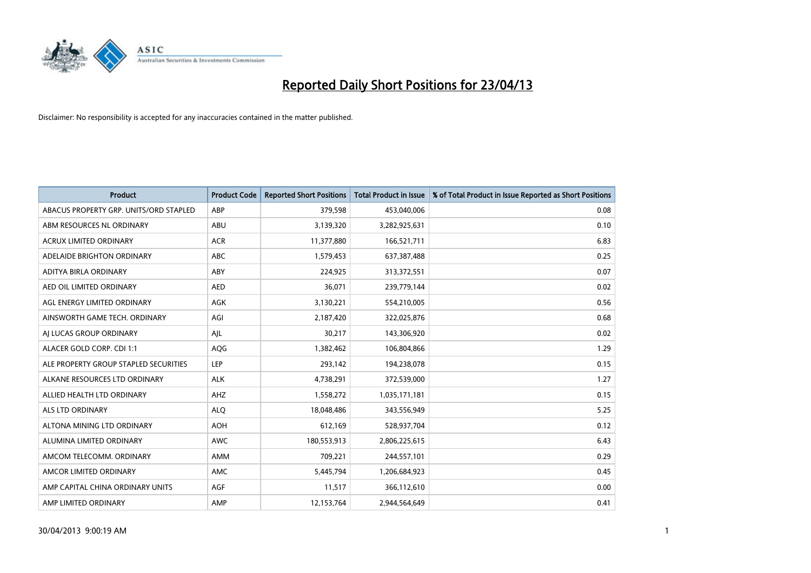

| <b>Product</b>                         | <b>Product Code</b> | <b>Reported Short Positions</b> | <b>Total Product in Issue</b> | % of Total Product in Issue Reported as Short Positions |
|----------------------------------------|---------------------|---------------------------------|-------------------------------|---------------------------------------------------------|
| ABACUS PROPERTY GRP. UNITS/ORD STAPLED | ABP                 | 379,598                         | 453,040,006                   | 0.08                                                    |
| ABM RESOURCES NL ORDINARY              | ABU                 | 3,139,320                       | 3,282,925,631                 | 0.10                                                    |
| <b>ACRUX LIMITED ORDINARY</b>          | <b>ACR</b>          | 11,377,880                      | 166,521,711                   | 6.83                                                    |
| ADELAIDE BRIGHTON ORDINARY             | <b>ABC</b>          | 1,579,453                       | 637,387,488                   | 0.25                                                    |
| <b>ADITYA BIRLA ORDINARY</b>           | ABY                 | 224,925                         | 313,372,551                   | 0.07                                                    |
| AED OIL LIMITED ORDINARY               | <b>AED</b>          | 36,071                          | 239,779,144                   | 0.02                                                    |
| AGL ENERGY LIMITED ORDINARY            | AGK                 | 3,130,221                       | 554,210,005                   | 0.56                                                    |
| AINSWORTH GAME TECH. ORDINARY          | AGI                 | 2,187,420                       | 322,025,876                   | 0.68                                                    |
| AI LUCAS GROUP ORDINARY                | AJL                 | 30,217                          | 143,306,920                   | 0.02                                                    |
| ALACER GOLD CORP. CDI 1:1              | AQG                 | 1,382,462                       | 106,804,866                   | 1.29                                                    |
| ALE PROPERTY GROUP STAPLED SECURITIES  | <b>LEP</b>          | 293,142                         | 194,238,078                   | 0.15                                                    |
| ALKANE RESOURCES LTD ORDINARY          | <b>ALK</b>          | 4,738,291                       | 372,539,000                   | 1.27                                                    |
| ALLIED HEALTH LTD ORDINARY             | AHZ                 | 1,558,272                       | 1,035,171,181                 | 0.15                                                    |
| <b>ALS LTD ORDINARY</b>                | <b>ALO</b>          | 18,048,486                      | 343,556,949                   | 5.25                                                    |
| ALTONA MINING LTD ORDINARY             | <b>AOH</b>          | 612,169                         | 528,937,704                   | 0.12                                                    |
| ALUMINA LIMITED ORDINARY               | <b>AWC</b>          | 180,553,913                     | 2,806,225,615                 | 6.43                                                    |
| AMCOM TELECOMM. ORDINARY               | <b>AMM</b>          | 709,221                         | 244,557,101                   | 0.29                                                    |
| AMCOR LIMITED ORDINARY                 | <b>AMC</b>          | 5,445,794                       | 1,206,684,923                 | 0.45                                                    |
| AMP CAPITAL CHINA ORDINARY UNITS       | AGF                 | 11,517                          | 366,112,610                   | 0.00                                                    |
| AMP LIMITED ORDINARY                   | AMP                 | 12,153,764                      | 2,944,564,649                 | 0.41                                                    |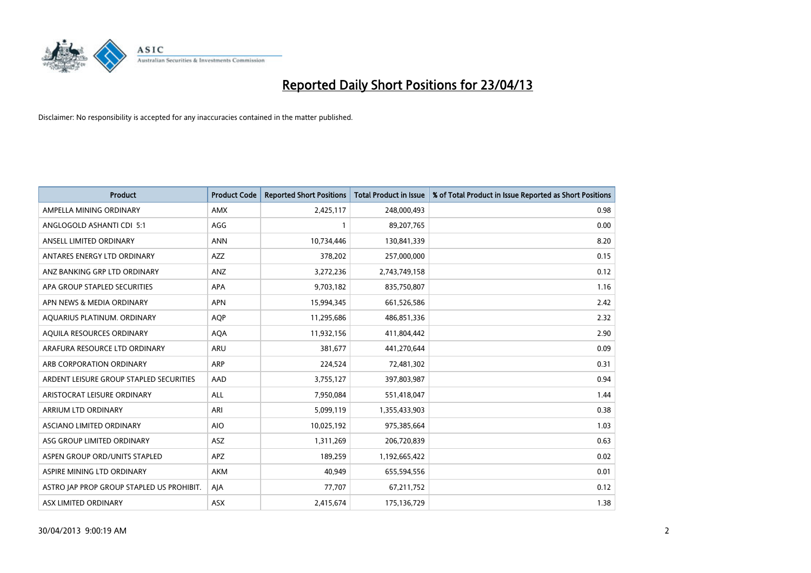

| <b>Product</b>                            | <b>Product Code</b> | <b>Reported Short Positions</b> | <b>Total Product in Issue</b> | % of Total Product in Issue Reported as Short Positions |
|-------------------------------------------|---------------------|---------------------------------|-------------------------------|---------------------------------------------------------|
| AMPELLA MINING ORDINARY                   | <b>AMX</b>          | 2,425,117                       | 248,000,493                   | 0.98                                                    |
| ANGLOGOLD ASHANTI CDI 5:1                 | AGG                 |                                 | 89,207,765                    | 0.00                                                    |
| ANSELL LIMITED ORDINARY                   | <b>ANN</b>          | 10,734,446                      | 130,841,339                   | 8.20                                                    |
| ANTARES ENERGY LTD ORDINARY               | <b>AZZ</b>          | 378,202                         | 257,000,000                   | 0.15                                                    |
| ANZ BANKING GRP LTD ORDINARY              | ANZ                 | 3,272,236                       | 2,743,749,158                 | 0.12                                                    |
| APA GROUP STAPLED SECURITIES              | <b>APA</b>          | 9,703,182                       | 835,750,807                   | 1.16                                                    |
| APN NEWS & MEDIA ORDINARY                 | <b>APN</b>          | 15,994,345                      | 661,526,586                   | 2.42                                                    |
| AQUARIUS PLATINUM. ORDINARY               | <b>AOP</b>          | 11,295,686                      | 486,851,336                   | 2.32                                                    |
| AQUILA RESOURCES ORDINARY                 | <b>AQA</b>          | 11,932,156                      | 411,804,442                   | 2.90                                                    |
| ARAFURA RESOURCE LTD ORDINARY             | <b>ARU</b>          | 381,677                         | 441,270,644                   | 0.09                                                    |
| ARB CORPORATION ORDINARY                  | <b>ARP</b>          | 224,524                         | 72,481,302                    | 0.31                                                    |
| ARDENT LEISURE GROUP STAPLED SECURITIES   | AAD                 | 3,755,127                       | 397,803,987                   | 0.94                                                    |
| ARISTOCRAT LEISURE ORDINARY               | <b>ALL</b>          | 7,950,084                       | 551,418,047                   | 1.44                                                    |
| <b>ARRIUM LTD ORDINARY</b>                | ARI                 | 5,099,119                       | 1,355,433,903                 | 0.38                                                    |
| ASCIANO LIMITED ORDINARY                  | <b>AIO</b>          | 10,025,192                      | 975,385,664                   | 1.03                                                    |
| ASG GROUP LIMITED ORDINARY                | ASZ                 | 1,311,269                       | 206,720,839                   | 0.63                                                    |
| ASPEN GROUP ORD/UNITS STAPLED             | <b>APZ</b>          | 189,259                         | 1,192,665,422                 | 0.02                                                    |
| ASPIRE MINING LTD ORDINARY                | <b>AKM</b>          | 40,949                          | 655,594,556                   | 0.01                                                    |
| ASTRO JAP PROP GROUP STAPLED US PROHIBIT. | AJA                 | 77,707                          | 67,211,752                    | 0.12                                                    |
| ASX LIMITED ORDINARY                      | ASX                 | 2,415,674                       | 175,136,729                   | 1.38                                                    |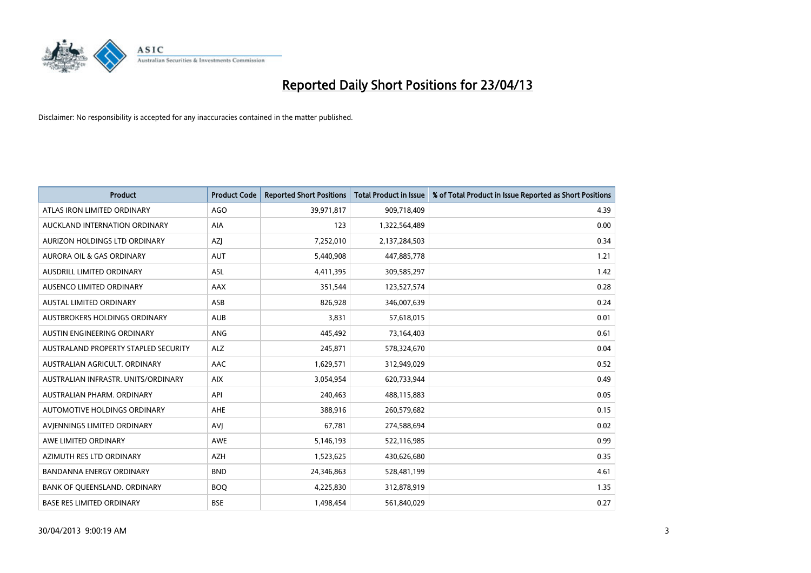

| <b>Product</b>                       | <b>Product Code</b> | <b>Reported Short Positions</b> | <b>Total Product in Issue</b> | % of Total Product in Issue Reported as Short Positions |
|--------------------------------------|---------------------|---------------------------------|-------------------------------|---------------------------------------------------------|
| ATLAS IRON LIMITED ORDINARY          | AGO                 | 39,971,817                      | 909,718,409                   | 4.39                                                    |
| AUCKLAND INTERNATION ORDINARY        | <b>AIA</b>          | 123                             | 1,322,564,489                 | 0.00                                                    |
| <b>AURIZON HOLDINGS LTD ORDINARY</b> | <b>AZI</b>          | 7,252,010                       | 2,137,284,503                 | 0.34                                                    |
| AURORA OIL & GAS ORDINARY            | <b>AUT</b>          | 5,440,908                       | 447,885,778                   | 1.21                                                    |
| AUSDRILL LIMITED ORDINARY            | ASL                 | 4,411,395                       | 309,585,297                   | 1.42                                                    |
| AUSENCO LIMITED ORDINARY             | <b>AAX</b>          | 351,544                         | 123,527,574                   | 0.28                                                    |
| AUSTAL LIMITED ORDINARY              | <b>ASB</b>          | 826,928                         | 346,007,639                   | 0.24                                                    |
| AUSTBROKERS HOLDINGS ORDINARY        | <b>AUB</b>          | 3,831                           | 57,618,015                    | 0.01                                                    |
| AUSTIN ENGINEERING ORDINARY          | <b>ANG</b>          | 445,492                         | 73,164,403                    | 0.61                                                    |
| AUSTRALAND PROPERTY STAPLED SECURITY | <b>ALZ</b>          | 245,871                         | 578,324,670                   | 0.04                                                    |
| AUSTRALIAN AGRICULT. ORDINARY        | AAC                 | 1,629,571                       | 312,949,029                   | 0.52                                                    |
| AUSTRALIAN INFRASTR, UNITS/ORDINARY  | <b>AIX</b>          | 3,054,954                       | 620,733,944                   | 0.49                                                    |
| AUSTRALIAN PHARM. ORDINARY           | API                 | 240,463                         | 488,115,883                   | 0.05                                                    |
| AUTOMOTIVE HOLDINGS ORDINARY         | AHE                 | 388,916                         | 260,579,682                   | 0.15                                                    |
| AVIENNINGS LIMITED ORDINARY          | AVI                 | 67,781                          | 274,588,694                   | 0.02                                                    |
| AWE LIMITED ORDINARY                 | <b>AWE</b>          | 5,146,193                       | 522,116,985                   | 0.99                                                    |
| AZIMUTH RES LTD ORDINARY             | <b>AZH</b>          | 1,523,625                       | 430,626,680                   | 0.35                                                    |
| BANDANNA ENERGY ORDINARY             | <b>BND</b>          | 24,346,863                      | 528,481,199                   | 4.61                                                    |
| BANK OF QUEENSLAND. ORDINARY         | <b>BOQ</b>          | 4,225,830                       | 312,878,919                   | 1.35                                                    |
| <b>BASE RES LIMITED ORDINARY</b>     | <b>BSE</b>          | 1,498,454                       | 561,840,029                   | 0.27                                                    |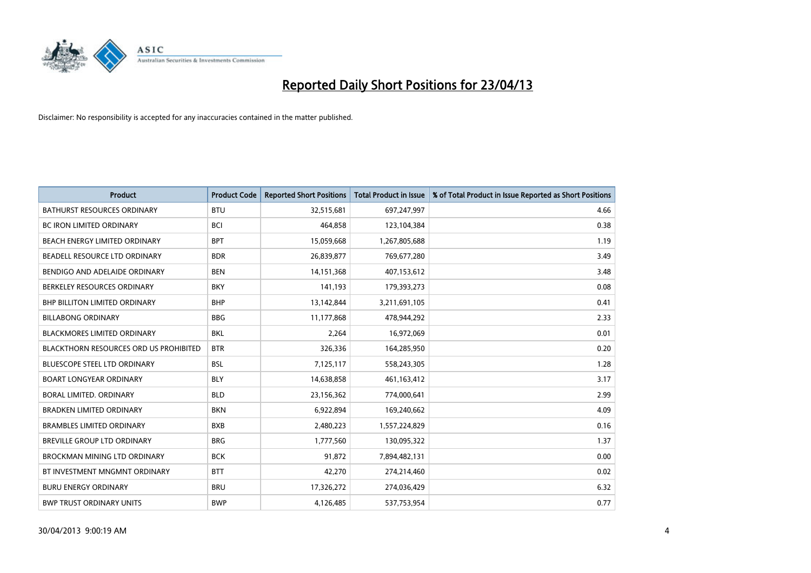

| <b>Product</b>                                | <b>Product Code</b> | <b>Reported Short Positions</b> | <b>Total Product in Issue</b> | % of Total Product in Issue Reported as Short Positions |
|-----------------------------------------------|---------------------|---------------------------------|-------------------------------|---------------------------------------------------------|
| <b>BATHURST RESOURCES ORDINARY</b>            | <b>BTU</b>          | 32,515,681                      | 697,247,997                   | 4.66                                                    |
| <b>BC IRON LIMITED ORDINARY</b>               | <b>BCI</b>          | 464.858                         | 123,104,384                   | 0.38                                                    |
| <b>BEACH ENERGY LIMITED ORDINARY</b>          | <b>BPT</b>          | 15,059,668                      | 1,267,805,688                 | 1.19                                                    |
| BEADELL RESOURCE LTD ORDINARY                 | <b>BDR</b>          | 26,839,877                      | 769,677,280                   | 3.49                                                    |
| BENDIGO AND ADELAIDE ORDINARY                 | <b>BEN</b>          | 14,151,368                      | 407,153,612                   | 3.48                                                    |
| BERKELEY RESOURCES ORDINARY                   | <b>BKY</b>          | 141,193                         | 179,393,273                   | 0.08                                                    |
| <b>BHP BILLITON LIMITED ORDINARY</b>          | <b>BHP</b>          | 13,142,844                      | 3,211,691,105                 | 0.41                                                    |
| <b>BILLABONG ORDINARY</b>                     | <b>BBG</b>          | 11,177,868                      | 478,944,292                   | 2.33                                                    |
| <b>BLACKMORES LIMITED ORDINARY</b>            | <b>BKL</b>          | 2,264                           | 16,972,069                    | 0.01                                                    |
| <b>BLACKTHORN RESOURCES ORD US PROHIBITED</b> | <b>BTR</b>          | 326,336                         | 164,285,950                   | 0.20                                                    |
| <b>BLUESCOPE STEEL LTD ORDINARY</b>           | <b>BSL</b>          | 7,125,117                       | 558,243,305                   | 1.28                                                    |
| <b>BOART LONGYEAR ORDINARY</b>                | <b>BLY</b>          | 14,638,858                      | 461,163,412                   | 3.17                                                    |
| BORAL LIMITED, ORDINARY                       | <b>BLD</b>          | 23,156,362                      | 774,000,641                   | 2.99                                                    |
| <b>BRADKEN LIMITED ORDINARY</b>               | <b>BKN</b>          | 6,922,894                       | 169,240,662                   | 4.09                                                    |
| <b>BRAMBLES LIMITED ORDINARY</b>              | <b>BXB</b>          | 2,480,223                       | 1,557,224,829                 | 0.16                                                    |
| <b>BREVILLE GROUP LTD ORDINARY</b>            | <b>BRG</b>          | 1,777,560                       | 130,095,322                   | 1.37                                                    |
| <b>BROCKMAN MINING LTD ORDINARY</b>           | <b>BCK</b>          | 91,872                          | 7,894,482,131                 | 0.00                                                    |
| BT INVESTMENT MNGMNT ORDINARY                 | <b>BTT</b>          | 42,270                          | 274,214,460                   | 0.02                                                    |
| <b>BURU ENERGY ORDINARY</b>                   | <b>BRU</b>          | 17,326,272                      | 274,036,429                   | 6.32                                                    |
| <b>BWP TRUST ORDINARY UNITS</b>               | <b>BWP</b>          | 4,126,485                       | 537,753,954                   | 0.77                                                    |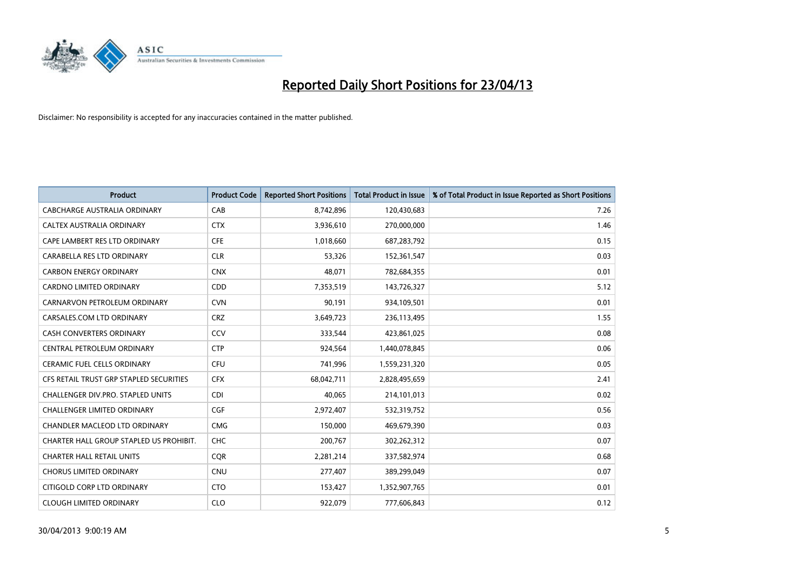

| <b>Product</b>                          | <b>Product Code</b> | <b>Reported Short Positions</b> | <b>Total Product in Issue</b> | % of Total Product in Issue Reported as Short Positions |
|-----------------------------------------|---------------------|---------------------------------|-------------------------------|---------------------------------------------------------|
| <b>CABCHARGE AUSTRALIA ORDINARY</b>     | CAB                 | 8,742,896                       | 120,430,683                   | 7.26                                                    |
| CALTEX AUSTRALIA ORDINARY               | <b>CTX</b>          | 3,936,610                       | 270,000,000                   | 1.46                                                    |
| CAPE LAMBERT RES LTD ORDINARY           | <b>CFE</b>          | 1,018,660                       | 687,283,792                   | 0.15                                                    |
| CARABELLA RES LTD ORDINARY              | <b>CLR</b>          | 53,326                          | 152,361,547                   | 0.03                                                    |
| <b>CARBON ENERGY ORDINARY</b>           | <b>CNX</b>          | 48,071                          | 782,684,355                   | 0.01                                                    |
| <b>CARDNO LIMITED ORDINARY</b>          | CDD                 | 7,353,519                       | 143,726,327                   | 5.12                                                    |
| CARNARVON PETROLEUM ORDINARY            | <b>CVN</b>          | 90,191                          | 934,109,501                   | 0.01                                                    |
| CARSALES.COM LTD ORDINARY               | <b>CRZ</b>          | 3,649,723                       | 236,113,495                   | 1.55                                                    |
| <b>CASH CONVERTERS ORDINARY</b>         | CCV                 | 333,544                         | 423,861,025                   | 0.08                                                    |
| CENTRAL PETROLEUM ORDINARY              | <b>CTP</b>          | 924,564                         | 1,440,078,845                 | 0.06                                                    |
| CERAMIC FUEL CELLS ORDINARY             | <b>CFU</b>          | 741,996                         | 1,559,231,320                 | 0.05                                                    |
| CFS RETAIL TRUST GRP STAPLED SECURITIES | <b>CFX</b>          | 68,042,711                      | 2,828,495,659                 | 2.41                                                    |
| CHALLENGER DIV.PRO. STAPLED UNITS       | <b>CDI</b>          | 40,065                          | 214,101,013                   | 0.02                                                    |
| <b>CHALLENGER LIMITED ORDINARY</b>      | <b>CGF</b>          | 2,972,407                       | 532,319,752                   | 0.56                                                    |
| CHANDLER MACLEOD LTD ORDINARY           | <b>CMG</b>          | 150,000                         | 469,679,390                   | 0.03                                                    |
| CHARTER HALL GROUP STAPLED US PROHIBIT. | <b>CHC</b>          | 200,767                         | 302,262,312                   | 0.07                                                    |
| <b>CHARTER HALL RETAIL UNITS</b>        | <b>COR</b>          | 2,281,214                       | 337,582,974                   | 0.68                                                    |
| <b>CHORUS LIMITED ORDINARY</b>          | <b>CNU</b>          | 277,407                         | 389,299,049                   | 0.07                                                    |
| CITIGOLD CORP LTD ORDINARY              | <b>CTO</b>          | 153,427                         | 1,352,907,765                 | 0.01                                                    |
| <b>CLOUGH LIMITED ORDINARY</b>          | <b>CLO</b>          | 922,079                         | 777,606,843                   | 0.12                                                    |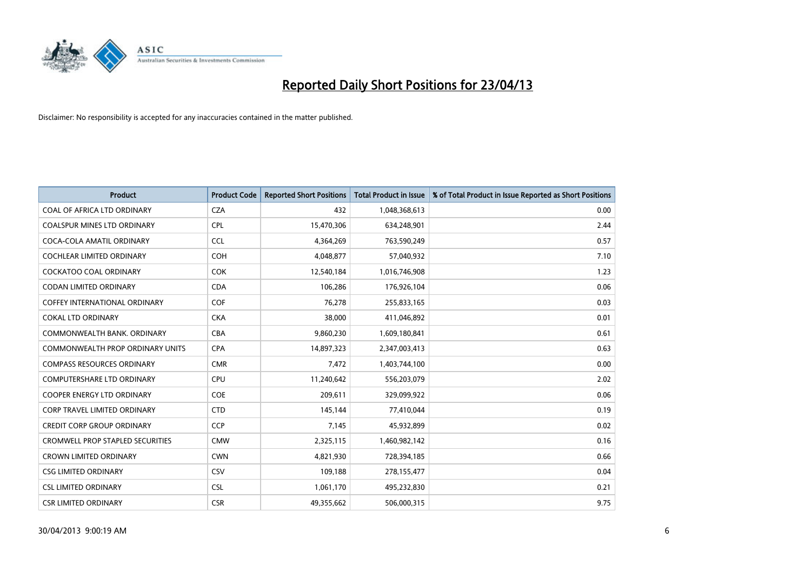

| <b>Product</b>                          | <b>Product Code</b> | <b>Reported Short Positions</b> | <b>Total Product in Issue</b> | % of Total Product in Issue Reported as Short Positions |
|-----------------------------------------|---------------------|---------------------------------|-------------------------------|---------------------------------------------------------|
| <b>COAL OF AFRICA LTD ORDINARY</b>      | <b>CZA</b>          | 432                             | 1,048,368,613                 | 0.00                                                    |
| COALSPUR MINES LTD ORDINARY             | <b>CPL</b>          | 15,470,306                      | 634,248,901                   | 2.44                                                    |
| COCA-COLA AMATIL ORDINARY               | <b>CCL</b>          | 4,364,269                       | 763,590,249                   | 0.57                                                    |
| <b>COCHLEAR LIMITED ORDINARY</b>        | <b>COH</b>          | 4,048,877                       | 57,040,932                    | 7.10                                                    |
| <b>COCKATOO COAL ORDINARY</b>           | <b>COK</b>          | 12,540,184                      | 1,016,746,908                 | 1.23                                                    |
| <b>CODAN LIMITED ORDINARY</b>           | <b>CDA</b>          | 106,286                         | 176,926,104                   | 0.06                                                    |
| <b>COFFEY INTERNATIONAL ORDINARY</b>    | <b>COF</b>          | 76,278                          | 255,833,165                   | 0.03                                                    |
| <b>COKAL LTD ORDINARY</b>               | <b>CKA</b>          | 38,000                          | 411,046,892                   | 0.01                                                    |
| COMMONWEALTH BANK, ORDINARY             | <b>CBA</b>          | 9,860,230                       | 1,609,180,841                 | 0.61                                                    |
| <b>COMMONWEALTH PROP ORDINARY UNITS</b> | <b>CPA</b>          | 14,897,323                      | 2,347,003,413                 | 0.63                                                    |
| <b>COMPASS RESOURCES ORDINARY</b>       | <b>CMR</b>          | 7,472                           | 1,403,744,100                 | 0.00                                                    |
| COMPUTERSHARE LTD ORDINARY              | <b>CPU</b>          | 11,240,642                      | 556,203,079                   | 2.02                                                    |
| <b>COOPER ENERGY LTD ORDINARY</b>       | <b>COE</b>          | 209,611                         | 329,099,922                   | 0.06                                                    |
| <b>CORP TRAVEL LIMITED ORDINARY</b>     | <b>CTD</b>          | 145,144                         | 77,410,044                    | 0.19                                                    |
| <b>CREDIT CORP GROUP ORDINARY</b>       | <b>CCP</b>          | 7,145                           | 45,932,899                    | 0.02                                                    |
| <b>CROMWELL PROP STAPLED SECURITIES</b> | <b>CMW</b>          | 2,325,115                       | 1,460,982,142                 | 0.16                                                    |
| <b>CROWN LIMITED ORDINARY</b>           | <b>CWN</b>          | 4,821,930                       | 728,394,185                   | 0.66                                                    |
| <b>CSG LIMITED ORDINARY</b>             | CSV                 | 109,188                         | 278,155,477                   | 0.04                                                    |
| <b>CSL LIMITED ORDINARY</b>             | <b>CSL</b>          | 1,061,170                       | 495,232,830                   | 0.21                                                    |
| <b>CSR LIMITED ORDINARY</b>             | <b>CSR</b>          | 49,355,662                      | 506,000,315                   | 9.75                                                    |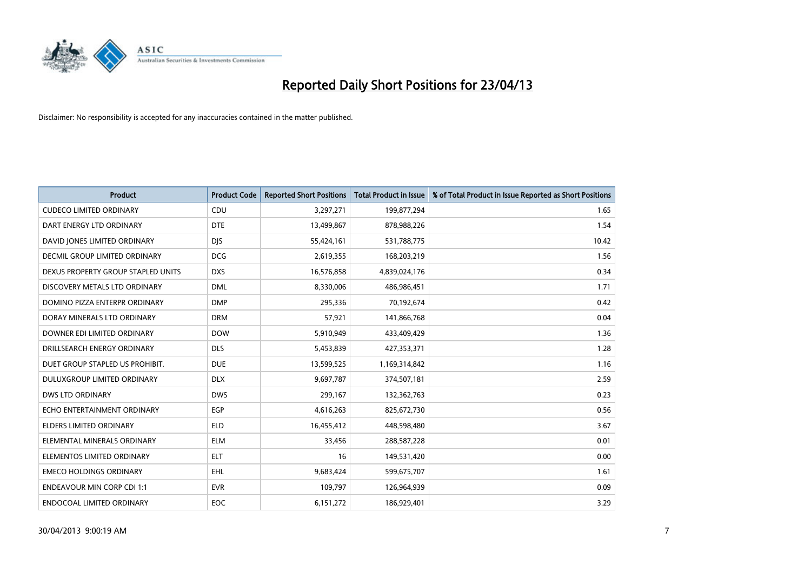

| <b>Product</b>                     | <b>Product Code</b> | <b>Reported Short Positions</b> | <b>Total Product in Issue</b> | % of Total Product in Issue Reported as Short Positions |
|------------------------------------|---------------------|---------------------------------|-------------------------------|---------------------------------------------------------|
| <b>CUDECO LIMITED ORDINARY</b>     | CDU                 | 3,297,271                       | 199,877,294                   | 1.65                                                    |
| DART ENERGY LTD ORDINARY           | <b>DTE</b>          | 13,499,867                      | 878,988,226                   | 1.54                                                    |
| DAVID JONES LIMITED ORDINARY       | <b>DJS</b>          | 55,424,161                      | 531,788,775                   | 10.42                                                   |
| DECMIL GROUP LIMITED ORDINARY      | <b>DCG</b>          | 2,619,355                       | 168,203,219                   | 1.56                                                    |
| DEXUS PROPERTY GROUP STAPLED UNITS | <b>DXS</b>          | 16,576,858                      | 4,839,024,176                 | 0.34                                                    |
| DISCOVERY METALS LTD ORDINARY      | <b>DML</b>          | 8,330,006                       | 486,986,451                   | 1.71                                                    |
| DOMINO PIZZA ENTERPR ORDINARY      | <b>DMP</b>          | 295,336                         | 70,192,674                    | 0.42                                                    |
| DORAY MINERALS LTD ORDINARY        | <b>DRM</b>          | 57,921                          | 141,866,768                   | 0.04                                                    |
| DOWNER EDI LIMITED ORDINARY        | <b>DOW</b>          | 5,910,949                       | 433,409,429                   | 1.36                                                    |
| DRILLSEARCH ENERGY ORDINARY        | <b>DLS</b>          | 5,453,839                       | 427,353,371                   | 1.28                                                    |
| DUET GROUP STAPLED US PROHIBIT.    | <b>DUE</b>          | 13,599,525                      | 1,169,314,842                 | 1.16                                                    |
| DULUXGROUP LIMITED ORDINARY        | <b>DLX</b>          | 9,697,787                       | 374,507,181                   | 2.59                                                    |
| <b>DWS LTD ORDINARY</b>            | <b>DWS</b>          | 299,167                         | 132,362,763                   | 0.23                                                    |
| ECHO ENTERTAINMENT ORDINARY        | <b>EGP</b>          | 4,616,263                       | 825,672,730                   | 0.56                                                    |
| <b>ELDERS LIMITED ORDINARY</b>     | <b>ELD</b>          | 16,455,412                      | 448,598,480                   | 3.67                                                    |
| ELEMENTAL MINERALS ORDINARY        | <b>ELM</b>          | 33,456                          | 288,587,228                   | 0.01                                                    |
| ELEMENTOS LIMITED ORDINARY         | <b>ELT</b>          | 16                              | 149,531,420                   | 0.00                                                    |
| <b>EMECO HOLDINGS ORDINARY</b>     | <b>EHL</b>          | 9,683,424                       | 599,675,707                   | 1.61                                                    |
| <b>ENDEAVOUR MIN CORP CDI 1:1</b>  | <b>EVR</b>          | 109,797                         | 126,964,939                   | 0.09                                                    |
| ENDOCOAL LIMITED ORDINARY          | EOC                 | 6,151,272                       | 186,929,401                   | 3.29                                                    |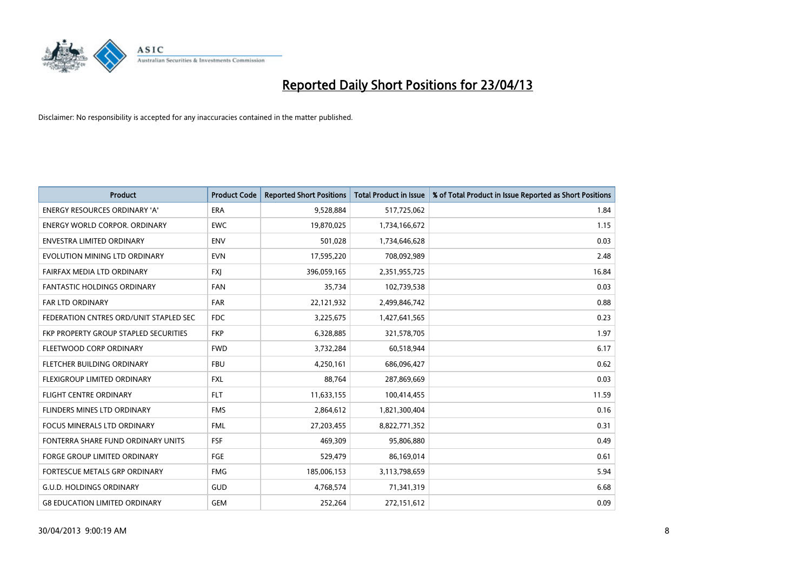

| <b>Product</b>                         | <b>Product Code</b> | <b>Reported Short Positions</b> | <b>Total Product in Issue</b> | % of Total Product in Issue Reported as Short Positions |
|----------------------------------------|---------------------|---------------------------------|-------------------------------|---------------------------------------------------------|
| <b>ENERGY RESOURCES ORDINARY 'A'</b>   | <b>ERA</b>          | 9,528,884                       | 517,725,062                   | 1.84                                                    |
| ENERGY WORLD CORPOR, ORDINARY          | <b>EWC</b>          | 19,870,025                      | 1,734,166,672                 | 1.15                                                    |
| <b>ENVESTRA LIMITED ORDINARY</b>       | <b>ENV</b>          | 501,028                         | 1,734,646,628                 | 0.03                                                    |
| EVOLUTION MINING LTD ORDINARY          | <b>EVN</b>          | 17,595,220                      | 708,092,989                   | 2.48                                                    |
| <b>FAIRFAX MEDIA LTD ORDINARY</b>      | <b>FXI</b>          | 396,059,165                     | 2,351,955,725                 | 16.84                                                   |
| <b>FANTASTIC HOLDINGS ORDINARY</b>     | <b>FAN</b>          | 35,734                          | 102,739,538                   | 0.03                                                    |
| <b>FAR LTD ORDINARY</b>                | <b>FAR</b>          | 22,121,932                      | 2,499,846,742                 | 0.88                                                    |
| FEDERATION CNTRES ORD/UNIT STAPLED SEC | <b>FDC</b>          | 3,225,675                       | 1,427,641,565                 | 0.23                                                    |
| FKP PROPERTY GROUP STAPLED SECURITIES  | <b>FKP</b>          | 6,328,885                       | 321,578,705                   | 1.97                                                    |
| FLEETWOOD CORP ORDINARY                | <b>FWD</b>          | 3,732,284                       | 60,518,944                    | 6.17                                                    |
| FLETCHER BUILDING ORDINARY             | <b>FBU</b>          | 4,250,161                       | 686,096,427                   | 0.62                                                    |
| <b>FLEXIGROUP LIMITED ORDINARY</b>     | <b>FXL</b>          | 88,764                          | 287,869,669                   | 0.03                                                    |
| <b>FLIGHT CENTRE ORDINARY</b>          | <b>FLT</b>          | 11,633,155                      | 100,414,455                   | 11.59                                                   |
| <b>FLINDERS MINES LTD ORDINARY</b>     | <b>FMS</b>          | 2,864,612                       | 1,821,300,404                 | 0.16                                                    |
| <b>FOCUS MINERALS LTD ORDINARY</b>     | <b>FML</b>          | 27,203,455                      | 8,822,771,352                 | 0.31                                                    |
| FONTERRA SHARE FUND ORDINARY UNITS     | <b>FSF</b>          | 469,309                         | 95,806,880                    | 0.49                                                    |
| FORGE GROUP LIMITED ORDINARY           | FGE                 | 529,479                         | 86,169,014                    | 0.61                                                    |
| FORTESCUE METALS GRP ORDINARY          | <b>FMG</b>          | 185,006,153                     | 3,113,798,659                 | 5.94                                                    |
| <b>G.U.D. HOLDINGS ORDINARY</b>        | <b>GUD</b>          | 4,768,574                       | 71,341,319                    | 6.68                                                    |
| <b>G8 EDUCATION LIMITED ORDINARY</b>   | GEM                 | 252,264                         | 272,151,612                   | 0.09                                                    |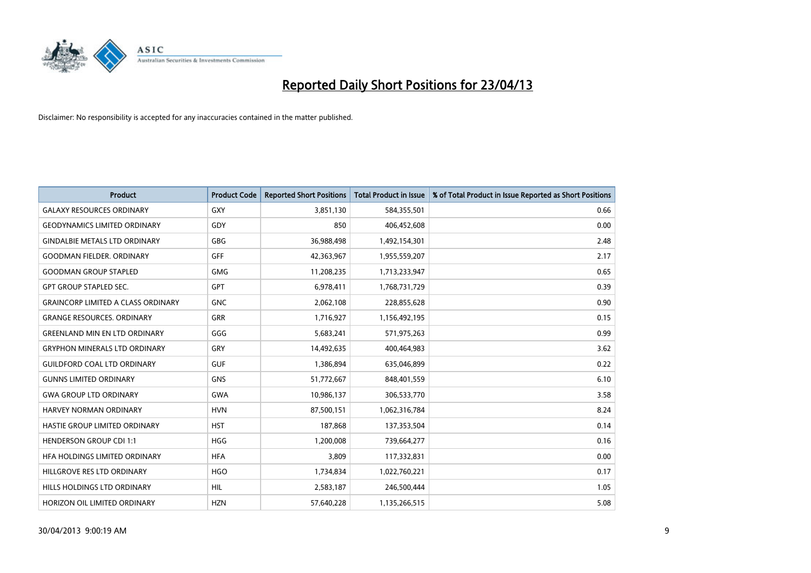

| <b>Product</b>                            | <b>Product Code</b> | <b>Reported Short Positions</b> | <b>Total Product in Issue</b> | % of Total Product in Issue Reported as Short Positions |
|-------------------------------------------|---------------------|---------------------------------|-------------------------------|---------------------------------------------------------|
| <b>GALAXY RESOURCES ORDINARY</b>          | <b>GXY</b>          | 3,851,130                       | 584,355,501                   | 0.66                                                    |
| <b>GEODYNAMICS LIMITED ORDINARY</b>       | GDY                 | 850                             | 406,452,608                   | 0.00                                                    |
| <b>GINDALBIE METALS LTD ORDINARY</b>      | <b>GBG</b>          | 36,988,498                      | 1,492,154,301                 | 2.48                                                    |
| <b>GOODMAN FIELDER. ORDINARY</b>          | <b>GFF</b>          | 42,363,967                      | 1,955,559,207                 | 2.17                                                    |
| <b>GOODMAN GROUP STAPLED</b>              | <b>GMG</b>          | 11,208,235                      | 1,713,233,947                 | 0.65                                                    |
| <b>GPT GROUP STAPLED SEC.</b>             | <b>GPT</b>          | 6,978,411                       | 1,768,731,729                 | 0.39                                                    |
| <b>GRAINCORP LIMITED A CLASS ORDINARY</b> | <b>GNC</b>          | 2,062,108                       | 228,855,628                   | 0.90                                                    |
| <b>GRANGE RESOURCES. ORDINARY</b>         | GRR                 | 1,716,927                       | 1,156,492,195                 | 0.15                                                    |
| <b>GREENLAND MIN EN LTD ORDINARY</b>      | GGG                 | 5,683,241                       | 571,975,263                   | 0.99                                                    |
| <b>GRYPHON MINERALS LTD ORDINARY</b>      | GRY                 | 14,492,635                      | 400,464,983                   | 3.62                                                    |
| <b>GUILDFORD COAL LTD ORDINARY</b>        | <b>GUF</b>          | 1,386,894                       | 635,046,899                   | 0.22                                                    |
| <b>GUNNS LIMITED ORDINARY</b>             | <b>GNS</b>          | 51,772,667                      | 848,401,559                   | 6.10                                                    |
| <b>GWA GROUP LTD ORDINARY</b>             | <b>GWA</b>          | 10,986,137                      | 306,533,770                   | 3.58                                                    |
| <b>HARVEY NORMAN ORDINARY</b>             | <b>HVN</b>          | 87,500,151                      | 1,062,316,784                 | 8.24                                                    |
| HASTIE GROUP LIMITED ORDINARY             | <b>HST</b>          | 187,868                         | 137,353,504                   | 0.14                                                    |
| <b>HENDERSON GROUP CDI 1:1</b>            | <b>HGG</b>          | 1,200,008                       | 739,664,277                   | 0.16                                                    |
| HFA HOLDINGS LIMITED ORDINARY             | <b>HFA</b>          | 3,809                           | 117,332,831                   | 0.00                                                    |
| HILLGROVE RES LTD ORDINARY                | <b>HGO</b>          | 1,734,834                       | 1,022,760,221                 | 0.17                                                    |
| <b>HILLS HOLDINGS LTD ORDINARY</b>        | <b>HIL</b>          | 2,583,187                       | 246,500,444                   | 1.05                                                    |
| <b>HORIZON OIL LIMITED ORDINARY</b>       | <b>HZN</b>          | 57.640.228                      | 1,135,266,515                 | 5.08                                                    |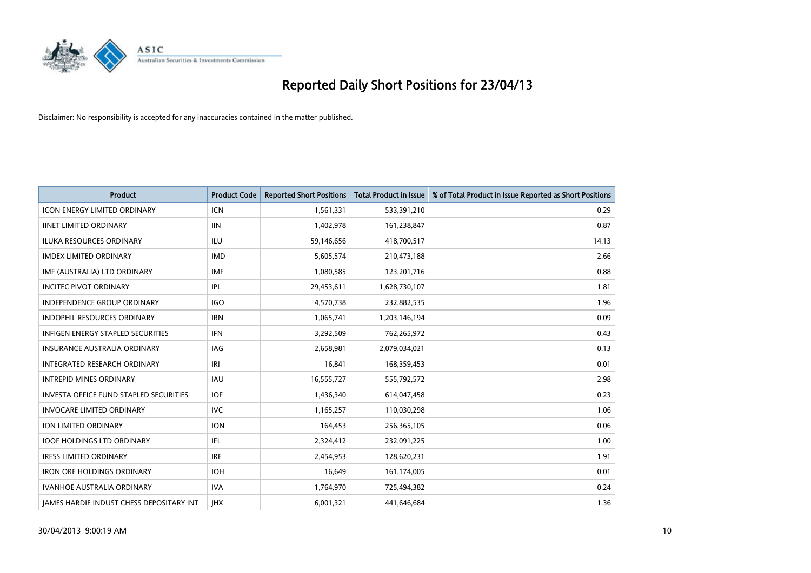

| <b>Product</b>                                | <b>Product Code</b> | <b>Reported Short Positions</b> | <b>Total Product in Issue</b> | % of Total Product in Issue Reported as Short Positions |
|-----------------------------------------------|---------------------|---------------------------------|-------------------------------|---------------------------------------------------------|
| <b>ICON ENERGY LIMITED ORDINARY</b>           | <b>ICN</b>          | 1,561,331                       | 533,391,210                   | 0.29                                                    |
| <b>IINET LIMITED ORDINARY</b>                 | <b>IIN</b>          | 1,402,978                       | 161,238,847                   | 0.87                                                    |
| <b>ILUKA RESOURCES ORDINARY</b>               | ILU                 | 59,146,656                      | 418,700,517                   | 14.13                                                   |
| <b>IMDEX LIMITED ORDINARY</b>                 | <b>IMD</b>          | 5,605,574                       | 210,473,188                   | 2.66                                                    |
| IMF (AUSTRALIA) LTD ORDINARY                  | <b>IMF</b>          | 1,080,585                       | 123,201,716                   | 0.88                                                    |
| <b>INCITEC PIVOT ORDINARY</b>                 | IPL                 | 29,453,611                      | 1,628,730,107                 | 1.81                                                    |
| <b>INDEPENDENCE GROUP ORDINARY</b>            | <b>IGO</b>          | 4,570,738                       | 232,882,535                   | 1.96                                                    |
| INDOPHIL RESOURCES ORDINARY                   | <b>IRN</b>          | 1,065,741                       | 1,203,146,194                 | 0.09                                                    |
| INFIGEN ENERGY STAPLED SECURITIES             | <b>IFN</b>          | 3,292,509                       | 762,265,972                   | 0.43                                                    |
| <b>INSURANCE AUSTRALIA ORDINARY</b>           | <b>IAG</b>          | 2,658,981                       | 2,079,034,021                 | 0.13                                                    |
| <b>INTEGRATED RESEARCH ORDINARY</b>           | IRI                 | 16,841                          | 168,359,453                   | 0.01                                                    |
| <b>INTREPID MINES ORDINARY</b>                | <b>IAU</b>          | 16,555,727                      | 555,792,572                   | 2.98                                                    |
| <b>INVESTA OFFICE FUND STAPLED SECURITIES</b> | <b>IOF</b>          | 1,436,340                       | 614,047,458                   | 0.23                                                    |
| <b>INVOCARE LIMITED ORDINARY</b>              | <b>IVC</b>          | 1,165,257                       | 110,030,298                   | 1.06                                                    |
| <b>ION LIMITED ORDINARY</b>                   | <b>ION</b>          | 164,453                         | 256,365,105                   | 0.06                                                    |
| <b>IOOF HOLDINGS LTD ORDINARY</b>             | <b>IFL</b>          | 2,324,412                       | 232,091,225                   | 1.00                                                    |
| <b>IRESS LIMITED ORDINARY</b>                 | <b>IRE</b>          | 2,454,953                       | 128,620,231                   | 1.91                                                    |
| <b>IRON ORE HOLDINGS ORDINARY</b>             | <b>IOH</b>          | 16,649                          | 161,174,005                   | 0.01                                                    |
| <b>IVANHOE AUSTRALIA ORDINARY</b>             | <b>IVA</b>          | 1,764,970                       | 725,494,382                   | 0.24                                                    |
| JAMES HARDIE INDUST CHESS DEPOSITARY INT      | <b>IHX</b>          | 6,001,321                       | 441,646,684                   | 1.36                                                    |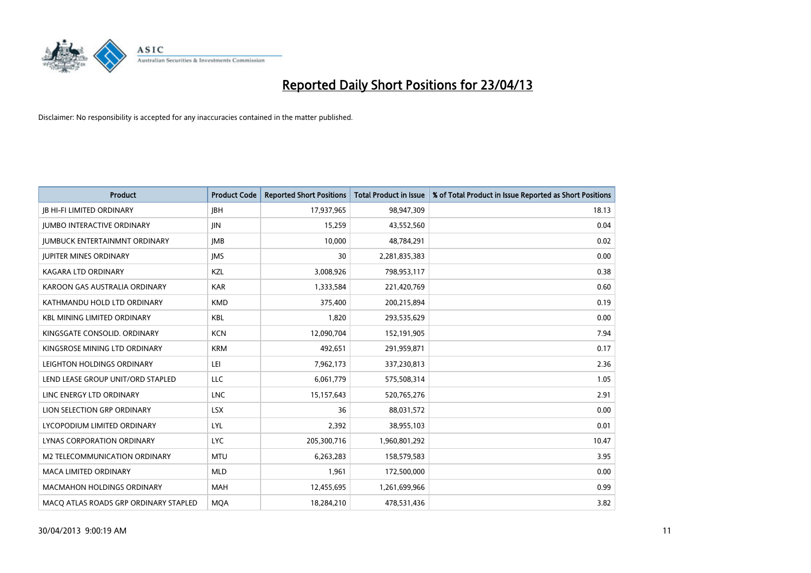

| <b>Product</b>                        | <b>Product Code</b> | <b>Reported Short Positions</b> | <b>Total Product in Issue</b> | % of Total Product in Issue Reported as Short Positions |
|---------------------------------------|---------------------|---------------------------------|-------------------------------|---------------------------------------------------------|
| <b>JB HI-FI LIMITED ORDINARY</b>      | <b>IBH</b>          | 17,937,965                      | 98,947,309                    | 18.13                                                   |
| <b>JUMBO INTERACTIVE ORDINARY</b>     | <b>IIN</b>          | 15,259                          | 43,552,560                    | 0.04                                                    |
| <b>JUMBUCK ENTERTAINMNT ORDINARY</b>  | <b>IMB</b>          | 10,000                          | 48,784,291                    | 0.02                                                    |
| <b>JUPITER MINES ORDINARY</b>         | <b>IMS</b>          | 30                              | 2,281,835,383                 | 0.00                                                    |
| <b>KAGARA LTD ORDINARY</b>            | KZL                 | 3,008,926                       | 798,953,117                   | 0.38                                                    |
| KAROON GAS AUSTRALIA ORDINARY         | <b>KAR</b>          | 1,333,584                       | 221,420,769                   | 0.60                                                    |
| KATHMANDU HOLD LTD ORDINARY           | <b>KMD</b>          | 375,400                         | 200,215,894                   | 0.19                                                    |
| <b>KBL MINING LIMITED ORDINARY</b>    | <b>KBL</b>          | 1,820                           | 293,535,629                   | 0.00                                                    |
| KINGSGATE CONSOLID. ORDINARY          | <b>KCN</b>          | 12,090,704                      | 152,191,905                   | 7.94                                                    |
| KINGSROSE MINING LTD ORDINARY         | <b>KRM</b>          | 492,651                         | 291,959,871                   | 0.17                                                    |
| LEIGHTON HOLDINGS ORDINARY            | LEI                 | 7,962,173                       | 337,230,813                   | 2.36                                                    |
| LEND LEASE GROUP UNIT/ORD STAPLED     | <b>LLC</b>          | 6,061,779                       | 575,508,314                   | 1.05                                                    |
| LINC ENERGY LTD ORDINARY              | <b>LNC</b>          | 15,157,643                      | 520,765,276                   | 2.91                                                    |
| LION SELECTION GRP ORDINARY           | <b>LSX</b>          | 36                              | 88,031,572                    | 0.00                                                    |
| LYCOPODIUM LIMITED ORDINARY           | LYL                 | 2,392                           | 38,955,103                    | 0.01                                                    |
| LYNAS CORPORATION ORDINARY            | LYC.                | 205,300,716                     | 1,960,801,292                 | 10.47                                                   |
| M2 TELECOMMUNICATION ORDINARY         | <b>MTU</b>          | 6,263,283                       | 158,579,583                   | 3.95                                                    |
| <b>MACA LIMITED ORDINARY</b>          | <b>MLD</b>          | 1,961                           | 172,500,000                   | 0.00                                                    |
| <b>MACMAHON HOLDINGS ORDINARY</b>     | <b>MAH</b>          | 12,455,695                      | 1,261,699,966                 | 0.99                                                    |
| MACO ATLAS ROADS GRP ORDINARY STAPLED | <b>MQA</b>          | 18,284,210                      | 478,531,436                   | 3.82                                                    |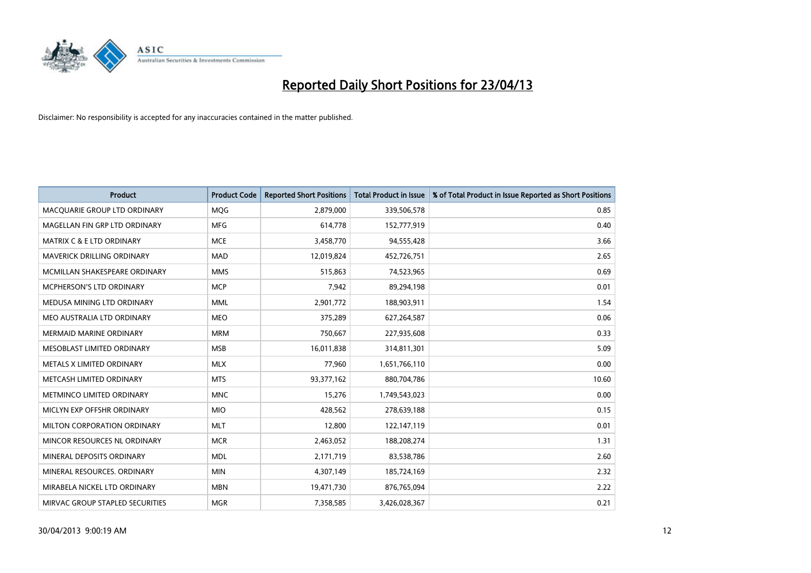

| <b>Product</b>                       | <b>Product Code</b> | <b>Reported Short Positions</b> | <b>Total Product in Issue</b> | % of Total Product in Issue Reported as Short Positions |
|--------------------------------------|---------------------|---------------------------------|-------------------------------|---------------------------------------------------------|
| MACQUARIE GROUP LTD ORDINARY         | <b>MOG</b>          | 2,879,000                       | 339,506,578                   | 0.85                                                    |
| MAGELLAN FIN GRP LTD ORDINARY        | <b>MFG</b>          | 614,778                         | 152,777,919                   | 0.40                                                    |
| <b>MATRIX C &amp; E LTD ORDINARY</b> | <b>MCE</b>          | 3,458,770                       | 94,555,428                    | 3.66                                                    |
| MAVERICK DRILLING ORDINARY           | <b>MAD</b>          | 12,019,824                      | 452,726,751                   | 2.65                                                    |
| MCMILLAN SHAKESPEARE ORDINARY        | <b>MMS</b>          | 515,863                         | 74,523,965                    | 0.69                                                    |
| <b>MCPHERSON'S LTD ORDINARY</b>      | <b>MCP</b>          | 7,942                           | 89,294,198                    | 0.01                                                    |
| MEDUSA MINING LTD ORDINARY           | <b>MML</b>          | 2,901,772                       | 188,903,911                   | 1.54                                                    |
| MEO AUSTRALIA LTD ORDINARY           | <b>MEO</b>          | 375,289                         | 627,264,587                   | 0.06                                                    |
| <b>MERMAID MARINE ORDINARY</b>       | <b>MRM</b>          | 750,667                         | 227,935,608                   | 0.33                                                    |
| MESOBLAST LIMITED ORDINARY           | <b>MSB</b>          | 16,011,838                      | 314,811,301                   | 5.09                                                    |
| METALS X LIMITED ORDINARY            | <b>MLX</b>          | 77,960                          | 1,651,766,110                 | 0.00                                                    |
| METCASH LIMITED ORDINARY             | <b>MTS</b>          | 93,377,162                      | 880,704,786                   | 10.60                                                   |
| METMINCO LIMITED ORDINARY            | <b>MNC</b>          | 15,276                          | 1,749,543,023                 | 0.00                                                    |
| MICLYN EXP OFFSHR ORDINARY           | <b>MIO</b>          | 428,562                         | 278,639,188                   | 0.15                                                    |
| MILTON CORPORATION ORDINARY          | <b>MLT</b>          | 12,800                          | 122,147,119                   | 0.01                                                    |
| MINCOR RESOURCES NL ORDINARY         | <b>MCR</b>          | 2,463,052                       | 188,208,274                   | 1.31                                                    |
| MINERAL DEPOSITS ORDINARY            | <b>MDL</b>          | 2,171,719                       | 83,538,786                    | 2.60                                                    |
| MINERAL RESOURCES. ORDINARY          | <b>MIN</b>          | 4,307,149                       | 185,724,169                   | 2.32                                                    |
| MIRABELA NICKEL LTD ORDINARY         | <b>MBN</b>          | 19,471,730                      | 876,765,094                   | 2.22                                                    |
| MIRVAC GROUP STAPLED SECURITIES      | <b>MGR</b>          | 7,358,585                       | 3,426,028,367                 | 0.21                                                    |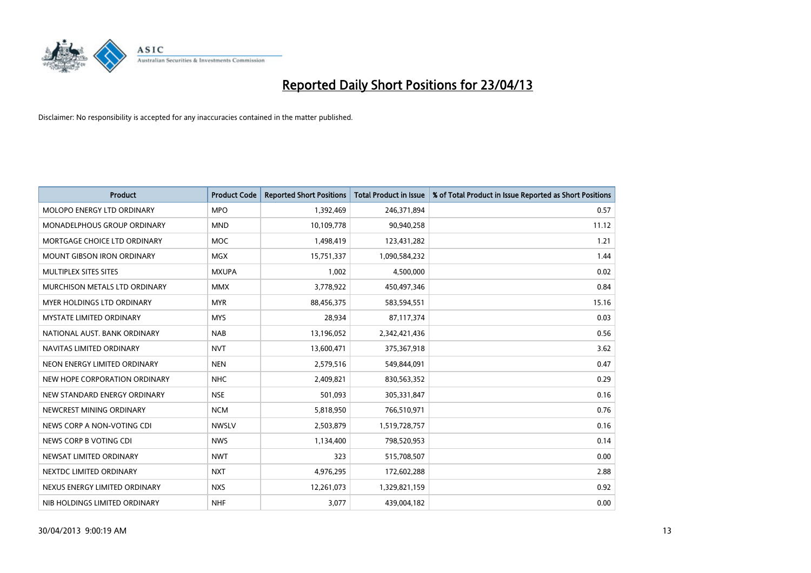

| <b>Product</b>                     | <b>Product Code</b> | <b>Reported Short Positions</b> | <b>Total Product in Issue</b> | % of Total Product in Issue Reported as Short Positions |
|------------------------------------|---------------------|---------------------------------|-------------------------------|---------------------------------------------------------|
| <b>MOLOPO ENERGY LTD ORDINARY</b>  | <b>MPO</b>          | 1,392,469                       | 246,371,894                   | 0.57                                                    |
| <b>MONADELPHOUS GROUP ORDINARY</b> | <b>MND</b>          | 10,109,778                      | 90,940,258                    | 11.12                                                   |
| MORTGAGE CHOICE LTD ORDINARY       | <b>MOC</b>          | 1,498,419                       | 123,431,282                   | 1.21                                                    |
| <b>MOUNT GIBSON IRON ORDINARY</b>  | <b>MGX</b>          | 15,751,337                      | 1,090,584,232                 | 1.44                                                    |
| MULTIPLEX SITES SITES              | <b>MXUPA</b>        | 1,002                           | 4,500,000                     | 0.02                                                    |
| MURCHISON METALS LTD ORDINARY      | <b>MMX</b>          | 3,778,922                       | 450,497,346                   | 0.84                                                    |
| <b>MYER HOLDINGS LTD ORDINARY</b>  | <b>MYR</b>          | 88,456,375                      | 583,594,551                   | 15.16                                                   |
| <b>MYSTATE LIMITED ORDINARY</b>    | <b>MYS</b>          | 28,934                          | 87,117,374                    | 0.03                                                    |
| NATIONAL AUST. BANK ORDINARY       | <b>NAB</b>          | 13,196,052                      | 2,342,421,436                 | 0.56                                                    |
| NAVITAS LIMITED ORDINARY           | <b>NVT</b>          | 13,600,471                      | 375,367,918                   | 3.62                                                    |
| NEON ENERGY LIMITED ORDINARY       | <b>NEN</b>          | 2,579,516                       | 549,844,091                   | 0.47                                                    |
| NEW HOPE CORPORATION ORDINARY      | <b>NHC</b>          | 2,409,821                       | 830,563,352                   | 0.29                                                    |
| NEW STANDARD ENERGY ORDINARY       | <b>NSE</b>          | 501,093                         | 305,331,847                   | 0.16                                                    |
| NEWCREST MINING ORDINARY           | <b>NCM</b>          | 5,818,950                       | 766,510,971                   | 0.76                                                    |
| NEWS CORP A NON-VOTING CDI         | <b>NWSLV</b>        | 2,503,879                       | 1,519,728,757                 | 0.16                                                    |
| NEWS CORP B VOTING CDI             | <b>NWS</b>          | 1,134,400                       | 798,520,953                   | 0.14                                                    |
| NEWSAT LIMITED ORDINARY            | <b>NWT</b>          | 323                             | 515,708,507                   | 0.00                                                    |
| NEXTDC LIMITED ORDINARY            | <b>NXT</b>          | 4,976,295                       | 172,602,288                   | 2.88                                                    |
| NEXUS ENERGY LIMITED ORDINARY      | <b>NXS</b>          | 12,261,073                      | 1,329,821,159                 | 0.92                                                    |
| NIB HOLDINGS LIMITED ORDINARY      | <b>NHF</b>          | 3,077                           | 439,004,182                   | 0.00                                                    |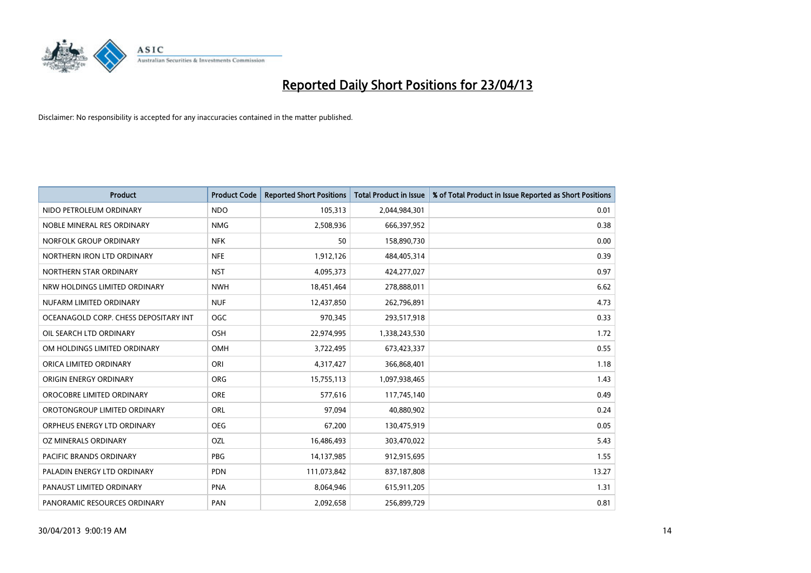

| <b>Product</b>                        | <b>Product Code</b> | <b>Reported Short Positions</b> | <b>Total Product in Issue</b> | % of Total Product in Issue Reported as Short Positions |
|---------------------------------------|---------------------|---------------------------------|-------------------------------|---------------------------------------------------------|
| NIDO PETROLEUM ORDINARY               | <b>NDO</b>          | 105,313                         | 2,044,984,301                 | 0.01                                                    |
| NOBLE MINERAL RES ORDINARY            | <b>NMG</b>          | 2,508,936                       | 666,397,952                   | 0.38                                                    |
| NORFOLK GROUP ORDINARY                | <b>NFK</b>          | 50                              | 158,890,730                   | 0.00                                                    |
| NORTHERN IRON LTD ORDINARY            | <b>NFE</b>          | 1,912,126                       | 484,405,314                   | 0.39                                                    |
| NORTHERN STAR ORDINARY                | <b>NST</b>          | 4,095,373                       | 424,277,027                   | 0.97                                                    |
| NRW HOLDINGS LIMITED ORDINARY         | <b>NWH</b>          | 18,451,464                      | 278,888,011                   | 6.62                                                    |
| NUFARM LIMITED ORDINARY               | <b>NUF</b>          | 12,437,850                      | 262,796,891                   | 4.73                                                    |
| OCEANAGOLD CORP. CHESS DEPOSITARY INT | <b>OGC</b>          | 970,345                         | 293,517,918                   | 0.33                                                    |
| OIL SEARCH LTD ORDINARY               | OSH                 | 22,974,995                      | 1,338,243,530                 | 1.72                                                    |
| OM HOLDINGS LIMITED ORDINARY          | <b>OMH</b>          | 3,722,495                       | 673,423,337                   | 0.55                                                    |
| ORICA LIMITED ORDINARY                | ORI                 | 4,317,427                       | 366,868,401                   | 1.18                                                    |
| ORIGIN ENERGY ORDINARY                | <b>ORG</b>          | 15,755,113                      | 1,097,938,465                 | 1.43                                                    |
| OROCOBRE LIMITED ORDINARY             | <b>ORE</b>          | 577,616                         | 117,745,140                   | 0.49                                                    |
| OROTONGROUP LIMITED ORDINARY          | ORL                 | 97,094                          | 40,880,902                    | 0.24                                                    |
| ORPHEUS ENERGY LTD ORDINARY           | <b>OEG</b>          | 67,200                          | 130,475,919                   | 0.05                                                    |
| OZ MINERALS ORDINARY                  | OZL                 | 16,486,493                      | 303,470,022                   | 5.43                                                    |
| PACIFIC BRANDS ORDINARY               | <b>PBG</b>          | 14,137,985                      | 912,915,695                   | 1.55                                                    |
| PALADIN ENERGY LTD ORDINARY           | <b>PDN</b>          | 111,073,842                     | 837,187,808                   | 13.27                                                   |
| PANAUST LIMITED ORDINARY              | PNA                 | 8,064,946                       | 615,911,205                   | 1.31                                                    |
| PANORAMIC RESOURCES ORDINARY          | PAN                 | 2,092,658                       | 256,899,729                   | 0.81                                                    |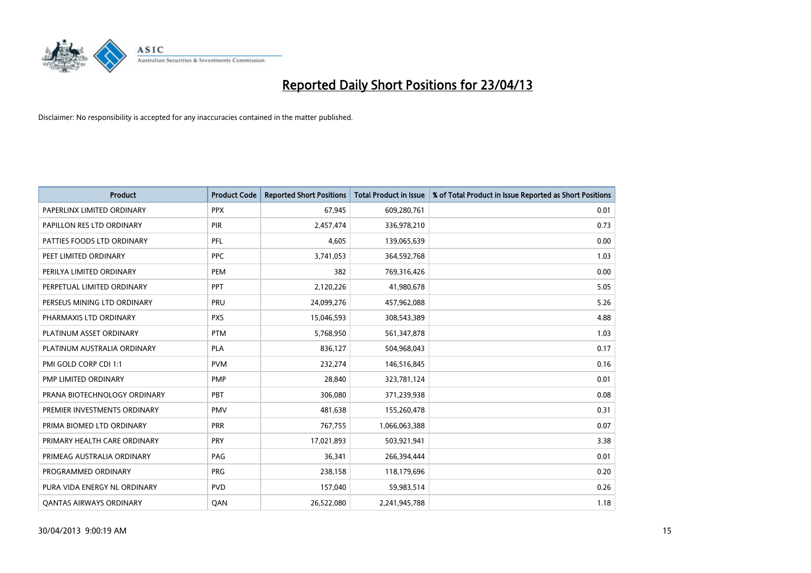

| <b>Product</b>                 | <b>Product Code</b> | <b>Reported Short Positions</b> | <b>Total Product in Issue</b> | % of Total Product in Issue Reported as Short Positions |
|--------------------------------|---------------------|---------------------------------|-------------------------------|---------------------------------------------------------|
| PAPERLINX LIMITED ORDINARY     | <b>PPX</b>          | 67,945                          | 609,280,761                   | 0.01                                                    |
| PAPILLON RES LTD ORDINARY      | PIR                 | 2,457,474                       | 336,978,210                   | 0.73                                                    |
| PATTIES FOODS LTD ORDINARY     | PFL                 | 4.605                           | 139,065,639                   | 0.00                                                    |
| PEET LIMITED ORDINARY          | <b>PPC</b>          | 3,741,053                       | 364,592,768                   | 1.03                                                    |
| PERILYA LIMITED ORDINARY       | PEM                 | 382                             | 769,316,426                   | 0.00                                                    |
| PERPETUAL LIMITED ORDINARY     | PPT                 | 2,120,226                       | 41,980,678                    | 5.05                                                    |
| PERSEUS MINING LTD ORDINARY    | <b>PRU</b>          | 24,099,276                      | 457,962,088                   | 5.26                                                    |
| PHARMAXIS LTD ORDINARY         | <b>PXS</b>          | 15,046,593                      | 308,543,389                   | 4.88                                                    |
| PLATINUM ASSET ORDINARY        | <b>PTM</b>          | 5,768,950                       | 561,347,878                   | 1.03                                                    |
| PLATINUM AUSTRALIA ORDINARY    | <b>PLA</b>          | 836,127                         | 504,968,043                   | 0.17                                                    |
| PMI GOLD CORP CDI 1:1          | <b>PVM</b>          | 232,274                         | 146,516,845                   | 0.16                                                    |
| PMP LIMITED ORDINARY           | <b>PMP</b>          | 28,840                          | 323,781,124                   | 0.01                                                    |
| PRANA BIOTECHNOLOGY ORDINARY   | PBT                 | 306,080                         | 371,239,938                   | 0.08                                                    |
| PREMIER INVESTMENTS ORDINARY   | <b>PMV</b>          | 481,638                         | 155,260,478                   | 0.31                                                    |
| PRIMA BIOMED LTD ORDINARY      | <b>PRR</b>          | 767,755                         | 1,066,063,388                 | 0.07                                                    |
| PRIMARY HEALTH CARE ORDINARY   | <b>PRY</b>          | 17,021,893                      | 503,921,941                   | 3.38                                                    |
| PRIMEAG AUSTRALIA ORDINARY     | PAG                 | 36,341                          | 266,394,444                   | 0.01                                                    |
| PROGRAMMED ORDINARY            | <b>PRG</b>          | 238,158                         | 118,179,696                   | 0.20                                                    |
| PURA VIDA ENERGY NL ORDINARY   | <b>PVD</b>          | 157,040                         | 59,983,514                    | 0.26                                                    |
| <b>QANTAS AIRWAYS ORDINARY</b> | QAN                 | 26,522,080                      | 2,241,945,788                 | 1.18                                                    |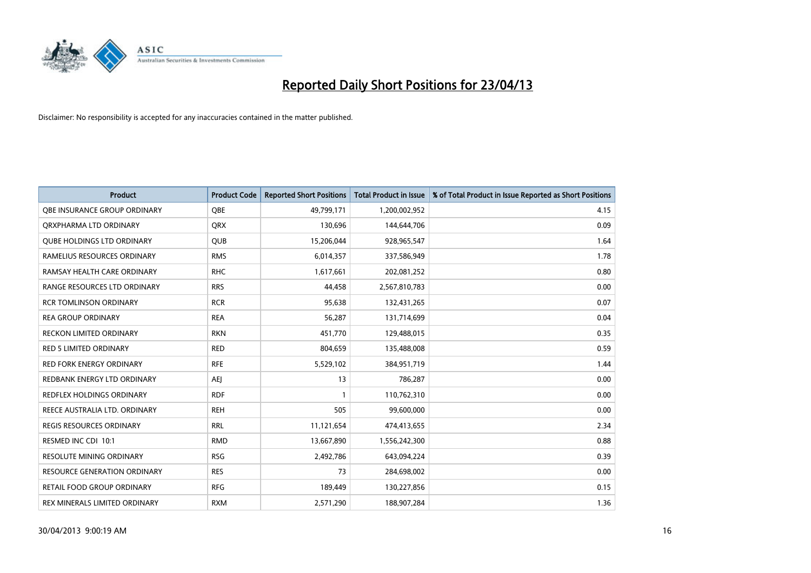

| <b>Product</b>                      | <b>Product Code</b> | <b>Reported Short Positions</b> | <b>Total Product in Issue</b> | % of Total Product in Issue Reported as Short Positions |
|-------------------------------------|---------------------|---------------------------------|-------------------------------|---------------------------------------------------------|
| OBE INSURANCE GROUP ORDINARY        | <b>OBE</b>          | 49,799,171                      | 1,200,002,952                 | 4.15                                                    |
| ORXPHARMA LTD ORDINARY              | <b>QRX</b>          | 130,696                         | 144,644,706                   | 0.09                                                    |
| <b>QUBE HOLDINGS LTD ORDINARY</b>   | QUB                 | 15,206,044                      | 928,965,547                   | 1.64                                                    |
| RAMELIUS RESOURCES ORDINARY         | <b>RMS</b>          | 6,014,357                       | 337,586,949                   | 1.78                                                    |
| RAMSAY HEALTH CARE ORDINARY         | <b>RHC</b>          | 1,617,661                       | 202,081,252                   | 0.80                                                    |
| RANGE RESOURCES LTD ORDINARY        | <b>RRS</b>          | 44,458                          | 2,567,810,783                 | 0.00                                                    |
| <b>RCR TOMLINSON ORDINARY</b>       | <b>RCR</b>          | 95,638                          | 132,431,265                   | 0.07                                                    |
| <b>REA GROUP ORDINARY</b>           | <b>REA</b>          | 56,287                          | 131,714,699                   | 0.04                                                    |
| <b>RECKON LIMITED ORDINARY</b>      | <b>RKN</b>          | 451,770                         | 129,488,015                   | 0.35                                                    |
| RED 5 LIMITED ORDINARY              | <b>RED</b>          | 804,659                         | 135,488,008                   | 0.59                                                    |
| RED FORK ENERGY ORDINARY            | <b>RFE</b>          | 5,529,102                       | 384,951,719                   | 1.44                                                    |
| REDBANK ENERGY LTD ORDINARY         | AEJ                 | 13                              | 786,287                       | 0.00                                                    |
| REDFLEX HOLDINGS ORDINARY           | <b>RDF</b>          |                                 | 110,762,310                   | 0.00                                                    |
| REECE AUSTRALIA LTD. ORDINARY       | <b>REH</b>          | 505                             | 99,600,000                    | 0.00                                                    |
| <b>REGIS RESOURCES ORDINARY</b>     | <b>RRL</b>          | 11,121,654                      | 474,413,655                   | 2.34                                                    |
| RESMED INC CDI 10:1                 | <b>RMD</b>          | 13,667,890                      | 1,556,242,300                 | 0.88                                                    |
| RESOLUTE MINING ORDINARY            | <b>RSG</b>          | 2,492,786                       | 643,094,224                   | 0.39                                                    |
| <b>RESOURCE GENERATION ORDINARY</b> | <b>RES</b>          | 73                              | 284,698,002                   | 0.00                                                    |
| RETAIL FOOD GROUP ORDINARY          | <b>RFG</b>          | 189,449                         | 130,227,856                   | 0.15                                                    |
| REX MINERALS LIMITED ORDINARY       | <b>RXM</b>          | 2,571,290                       | 188,907,284                   | 1.36                                                    |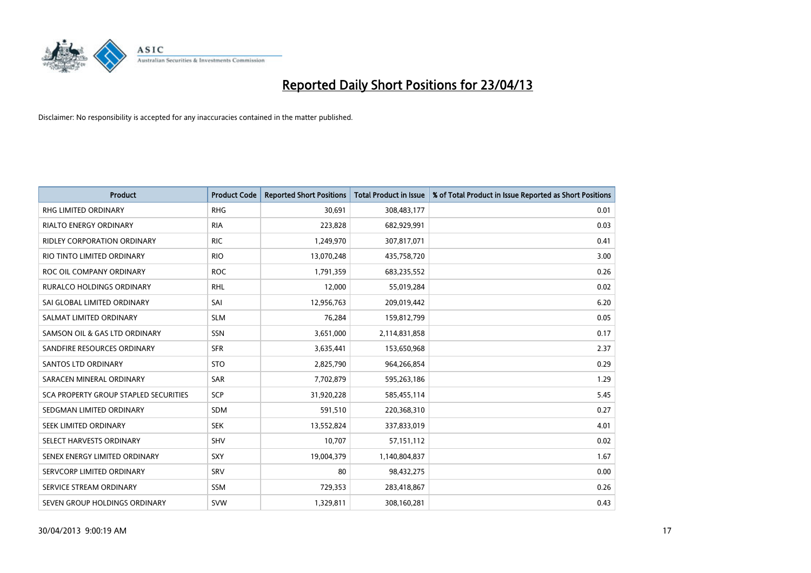

| <b>Product</b>                        | <b>Product Code</b> | <b>Reported Short Positions</b> | <b>Total Product in Issue</b> | % of Total Product in Issue Reported as Short Positions |
|---------------------------------------|---------------------|---------------------------------|-------------------------------|---------------------------------------------------------|
| <b>RHG LIMITED ORDINARY</b>           | <b>RHG</b>          | 30.691                          | 308,483,177                   | 0.01                                                    |
| RIALTO ENERGY ORDINARY                | <b>RIA</b>          | 223,828                         | 682,929,991                   | 0.03                                                    |
| <b>RIDLEY CORPORATION ORDINARY</b>    | <b>RIC</b>          | 1,249,970                       | 307,817,071                   | 0.41                                                    |
| RIO TINTO LIMITED ORDINARY            | <b>RIO</b>          | 13,070,248                      | 435,758,720                   | 3.00                                                    |
| ROC OIL COMPANY ORDINARY              | <b>ROC</b>          | 1,791,359                       | 683,235,552                   | 0.26                                                    |
| <b>RURALCO HOLDINGS ORDINARY</b>      | <b>RHL</b>          | 12,000                          | 55,019,284                    | 0.02                                                    |
| SAI GLOBAL LIMITED ORDINARY           | SAI                 | 12,956,763                      | 209,019,442                   | 6.20                                                    |
| SALMAT LIMITED ORDINARY               | <b>SLM</b>          | 76,284                          | 159,812,799                   | 0.05                                                    |
| SAMSON OIL & GAS LTD ORDINARY         | SSN                 | 3,651,000                       | 2,114,831,858                 | 0.17                                                    |
| SANDFIRE RESOURCES ORDINARY           | <b>SFR</b>          | 3,635,441                       | 153,650,968                   | 2.37                                                    |
| <b>SANTOS LTD ORDINARY</b>            | <b>STO</b>          | 2,825,790                       | 964,266,854                   | 0.29                                                    |
| SARACEN MINERAL ORDINARY              | <b>SAR</b>          | 7,702,879                       | 595,263,186                   | 1.29                                                    |
| SCA PROPERTY GROUP STAPLED SECURITIES | SCP                 | 31,920,228                      | 585,455,114                   | 5.45                                                    |
| SEDGMAN LIMITED ORDINARY              | <b>SDM</b>          | 591,510                         | 220,368,310                   | 0.27                                                    |
| SEEK LIMITED ORDINARY                 | <b>SEK</b>          | 13,552,824                      | 337,833,019                   | 4.01                                                    |
| SELECT HARVESTS ORDINARY              | <b>SHV</b>          | 10,707                          | 57, 151, 112                  | 0.02                                                    |
| SENEX ENERGY LIMITED ORDINARY         | <b>SXY</b>          | 19,004,379                      | 1,140,804,837                 | 1.67                                                    |
| SERVCORP LIMITED ORDINARY             | SRV                 | 80                              | 98,432,275                    | 0.00                                                    |
| SERVICE STREAM ORDINARY               | <b>SSM</b>          | 729,353                         | 283,418,867                   | 0.26                                                    |
| SEVEN GROUP HOLDINGS ORDINARY         | <b>SVW</b>          | 1,329,811                       | 308,160,281                   | 0.43                                                    |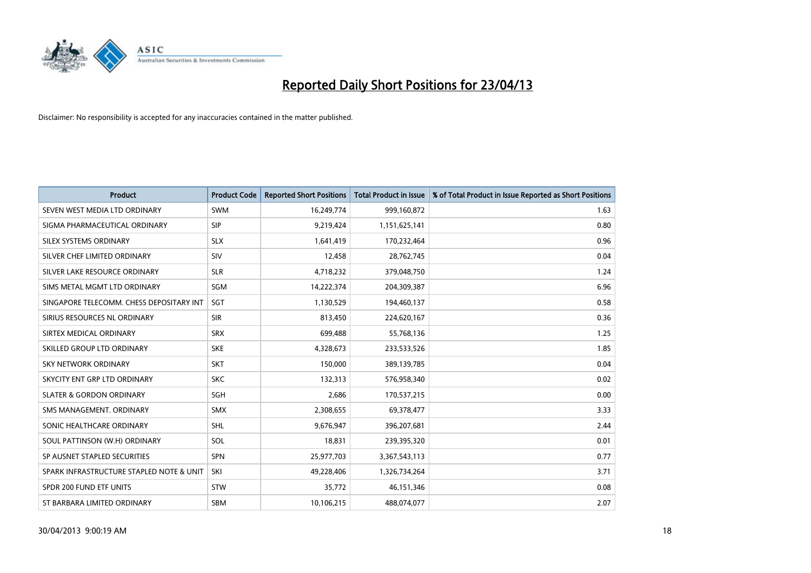

| <b>Product</b>                           | <b>Product Code</b> | <b>Reported Short Positions</b> | <b>Total Product in Issue</b> | % of Total Product in Issue Reported as Short Positions |
|------------------------------------------|---------------------|---------------------------------|-------------------------------|---------------------------------------------------------|
| SEVEN WEST MEDIA LTD ORDINARY            | <b>SWM</b>          | 16,249,774                      | 999,160,872                   | 1.63                                                    |
| SIGMA PHARMACEUTICAL ORDINARY            | <b>SIP</b>          | 9,219,424                       | 1,151,625,141                 | 0.80                                                    |
| SILEX SYSTEMS ORDINARY                   | <b>SLX</b>          | 1,641,419                       | 170,232,464                   | 0.96                                                    |
| SILVER CHEF LIMITED ORDINARY             | <b>SIV</b>          | 12,458                          | 28,762,745                    | 0.04                                                    |
| SILVER LAKE RESOURCE ORDINARY            | <b>SLR</b>          | 4,718,232                       | 379,048,750                   | 1.24                                                    |
| SIMS METAL MGMT LTD ORDINARY             | SGM                 | 14,222,374                      | 204,309,387                   | 6.96                                                    |
| SINGAPORE TELECOMM. CHESS DEPOSITARY INT | SGT                 | 1,130,529                       | 194,460,137                   | 0.58                                                    |
| SIRIUS RESOURCES NL ORDINARY             | <b>SIR</b>          | 813,450                         | 224,620,167                   | 0.36                                                    |
| SIRTEX MEDICAL ORDINARY                  | <b>SRX</b>          | 699,488                         | 55,768,136                    | 1.25                                                    |
| SKILLED GROUP LTD ORDINARY               | <b>SKE</b>          | 4,328,673                       | 233,533,526                   | 1.85                                                    |
| SKY NETWORK ORDINARY                     | <b>SKT</b>          | 150,000                         | 389,139,785                   | 0.04                                                    |
| SKYCITY ENT GRP LTD ORDINARY             | <b>SKC</b>          | 132,313                         | 576,958,340                   | 0.02                                                    |
| <b>SLATER &amp; GORDON ORDINARY</b>      | SGH                 | 2,686                           | 170,537,215                   | 0.00                                                    |
| SMS MANAGEMENT, ORDINARY                 | SMX                 | 2,308,655                       | 69,378,477                    | 3.33                                                    |
| SONIC HEALTHCARE ORDINARY                | <b>SHL</b>          | 9,676,947                       | 396,207,681                   | 2.44                                                    |
| SOUL PATTINSON (W.H) ORDINARY            | SOL                 | 18,831                          | 239,395,320                   | 0.01                                                    |
| SP AUSNET STAPLED SECURITIES             | <b>SPN</b>          | 25,977,703                      | 3,367,543,113                 | 0.77                                                    |
| SPARK INFRASTRUCTURE STAPLED NOTE & UNIT | SKI                 | 49,228,406                      | 1,326,734,264                 | 3.71                                                    |
| SPDR 200 FUND ETF UNITS                  | <b>STW</b>          | 35,772                          | 46,151,346                    | 0.08                                                    |
| ST BARBARA LIMITED ORDINARY              | <b>SBM</b>          | 10,106,215                      | 488,074,077                   | 2.07                                                    |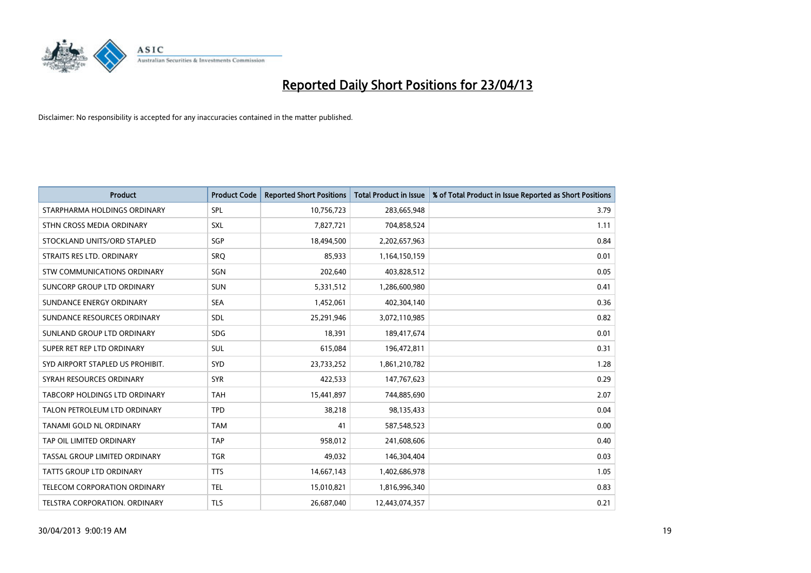

| <b>Product</b>                       | <b>Product Code</b> | <b>Reported Short Positions</b> | <b>Total Product in Issue</b> | % of Total Product in Issue Reported as Short Positions |
|--------------------------------------|---------------------|---------------------------------|-------------------------------|---------------------------------------------------------|
| STARPHARMA HOLDINGS ORDINARY         | SPL                 | 10,756,723                      | 283,665,948                   | 3.79                                                    |
| STHN CROSS MEDIA ORDINARY            | <b>SXL</b>          | 7,827,721                       | 704,858,524                   | 1.11                                                    |
| STOCKLAND UNITS/ORD STAPLED          | <b>SGP</b>          | 18,494,500                      | 2,202,657,963                 | 0.84                                                    |
| STRAITS RES LTD. ORDINARY            | SRQ                 | 85,933                          | 1,164,150,159                 | 0.01                                                    |
| STW COMMUNICATIONS ORDINARY          | SGN                 | 202,640                         | 403,828,512                   | 0.05                                                    |
| SUNCORP GROUP LTD ORDINARY           | <b>SUN</b>          | 5,331,512                       | 1,286,600,980                 | 0.41                                                    |
| SUNDANCE ENERGY ORDINARY             | <b>SEA</b>          | 1,452,061                       | 402,304,140                   | 0.36                                                    |
| SUNDANCE RESOURCES ORDINARY          | <b>SDL</b>          | 25,291,946                      | 3,072,110,985                 | 0.82                                                    |
| SUNLAND GROUP LTD ORDINARY           | <b>SDG</b>          | 18,391                          | 189,417,674                   | 0.01                                                    |
| SUPER RET REP LTD ORDINARY           | <b>SUL</b>          | 615,084                         | 196,472,811                   | 0.31                                                    |
| SYD AIRPORT STAPLED US PROHIBIT.     | <b>SYD</b>          | 23,733,252                      | 1,861,210,782                 | 1.28                                                    |
| SYRAH RESOURCES ORDINARY             | <b>SYR</b>          | 422,533                         | 147,767,623                   | 0.29                                                    |
| <b>TABCORP HOLDINGS LTD ORDINARY</b> | <b>TAH</b>          | 15,441,897                      | 744,885,690                   | 2.07                                                    |
| TALON PETROLEUM LTD ORDINARY         | <b>TPD</b>          | 38,218                          | 98,135,433                    | 0.04                                                    |
| <b>TANAMI GOLD NL ORDINARY</b>       | <b>TAM</b>          | 41                              | 587,548,523                   | 0.00                                                    |
| TAP OIL LIMITED ORDINARY             | <b>TAP</b>          | 958,012                         | 241,608,606                   | 0.40                                                    |
| TASSAL GROUP LIMITED ORDINARY        | <b>TGR</b>          | 49,032                          | 146,304,404                   | 0.03                                                    |
| <b>TATTS GROUP LTD ORDINARY</b>      | <b>TTS</b>          | 14,667,143                      | 1,402,686,978                 | 1.05                                                    |
| <b>TELECOM CORPORATION ORDINARY</b>  | <b>TEL</b>          | 15,010,821                      | 1,816,996,340                 | 0.83                                                    |
| TELSTRA CORPORATION. ORDINARY        | <b>TLS</b>          | 26,687,040                      | 12,443,074,357                | 0.21                                                    |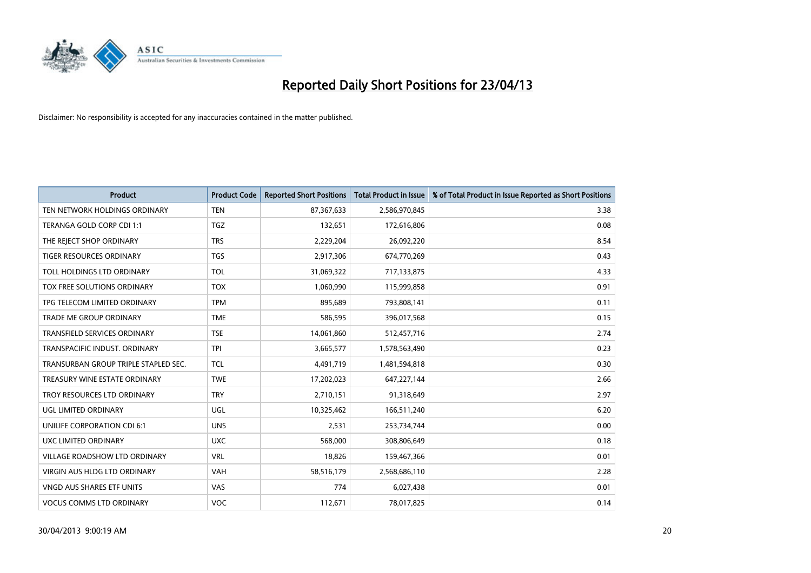

| <b>Product</b>                       | <b>Product Code</b> | <b>Reported Short Positions</b> | <b>Total Product in Issue</b> | % of Total Product in Issue Reported as Short Positions |
|--------------------------------------|---------------------|---------------------------------|-------------------------------|---------------------------------------------------------|
| TEN NETWORK HOLDINGS ORDINARY        | <b>TEN</b>          | 87,367,633                      | 2,586,970,845                 | 3.38                                                    |
| TERANGA GOLD CORP CDI 1:1            | <b>TGZ</b>          | 132,651                         | 172,616,806                   | 0.08                                                    |
| THE REJECT SHOP ORDINARY             | <b>TRS</b>          | 2,229,204                       | 26,092,220                    | 8.54                                                    |
| TIGER RESOURCES ORDINARY             | <b>TGS</b>          | 2,917,306                       | 674,770,269                   | 0.43                                                    |
| TOLL HOLDINGS LTD ORDINARY           | <b>TOL</b>          | 31,069,322                      | 717,133,875                   | 4.33                                                    |
| <b>TOX FREE SOLUTIONS ORDINARY</b>   | <b>TOX</b>          | 1,060,990                       | 115,999,858                   | 0.91                                                    |
| TPG TELECOM LIMITED ORDINARY         | <b>TPM</b>          | 895,689                         | 793,808,141                   | 0.11                                                    |
| TRADE ME GROUP ORDINARY              | <b>TME</b>          | 586,595                         | 396,017,568                   | 0.15                                                    |
| TRANSFIELD SERVICES ORDINARY         | <b>TSE</b>          | 14,061,860                      | 512,457,716                   | 2.74                                                    |
| TRANSPACIFIC INDUST, ORDINARY        | <b>TPI</b>          | 3,665,577                       | 1,578,563,490                 | 0.23                                                    |
| TRANSURBAN GROUP TRIPLE STAPLED SEC. | <b>TCL</b>          | 4,491,719                       | 1,481,594,818                 | 0.30                                                    |
| TREASURY WINE ESTATE ORDINARY        | <b>TWE</b>          | 17,202,023                      | 647,227,144                   | 2.66                                                    |
| TROY RESOURCES LTD ORDINARY          | <b>TRY</b>          | 2,710,151                       | 91,318,649                    | 2.97                                                    |
| UGL LIMITED ORDINARY                 | UGL                 | 10,325,462                      | 166,511,240                   | 6.20                                                    |
| UNILIFE CORPORATION CDI 6:1          | <b>UNS</b>          | 2,531                           | 253,734,744                   | 0.00                                                    |
| UXC LIMITED ORDINARY                 | <b>UXC</b>          | 568,000                         | 308,806,649                   | 0.18                                                    |
| VILLAGE ROADSHOW LTD ORDINARY        | <b>VRL</b>          | 18,826                          | 159,467,366                   | 0.01                                                    |
| VIRGIN AUS HLDG LTD ORDINARY         | <b>VAH</b>          | 58,516,179                      | 2,568,686,110                 | 2.28                                                    |
| VNGD AUS SHARES ETF UNITS            | <b>VAS</b>          | 774                             | 6,027,438                     | 0.01                                                    |
| <b>VOCUS COMMS LTD ORDINARY</b>      | <b>VOC</b>          | 112,671                         | 78,017,825                    | 0.14                                                    |